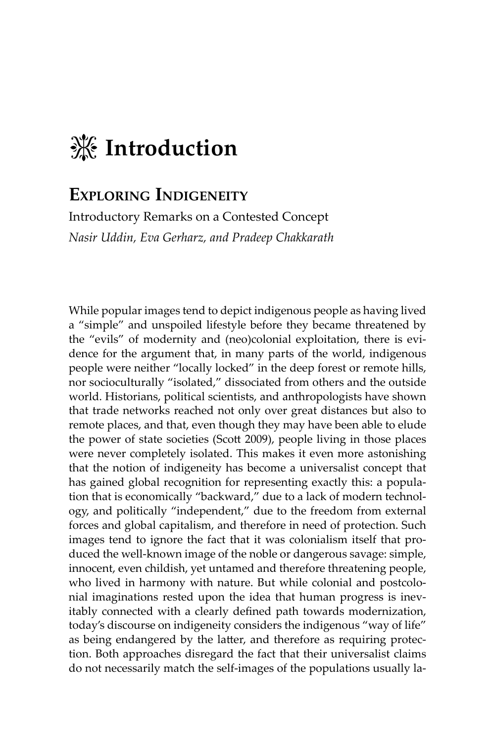# a **Introduction**

# **EXPLORING INDIGENEITY**

Introductory Remarks on a Contested Concept *Nasir Uddin, Eva Gerharz, and Pradeep Chakkarath*

While popular images tend to depict indigenous people as having lived a "simple" and unspoiled lifestyle before they became threatened by the "evils" of modernity and (neo)colonial exploitation, there is evidence for the argument that, in many parts of the world, indigenous people were neither "locally locked" in the deep forest or remote hills, nor socioculturally "isolated," dissociated from others and the outside world. Historians, political scientists, and anthropologists have shown that trade networks reached not only over great distances but also to remote places, and that, even though they may have been able to elude the power of state societies (Scott 2009), people living in those places were never completely isolated. This makes it even more astonishing that the notion of indigeneity has become a universalist concept that has gained global recognition for representing exactly this: a population that is economically "backward," due to a lack of modern technology, and politically "independent," due to the freedom from external forces and global capitalism, and therefore in need of protection. Such images tend to ignore the fact that it was colonialism itself that produced the well-known image of the noble or dangerous savage: simple, innocent, even childish, yet untamed and therefore threatening people, who lived in harmony with nature. But while colonial and postcolonial imaginations rested upon the idea that human progress is inevitably connected with a clearly defined path towards modernization, today's discourse on indigeneity considers the indigenous "way of life" as being endangered by the latter, and therefore as requiring protection. Both approaches disregard the fact that their universalist claims do not necessarily match the self-images of the populations usually la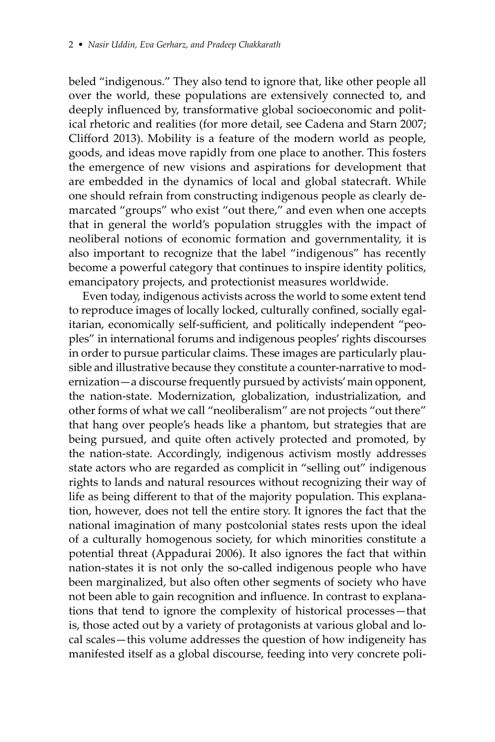beled "indigenous." They also tend to ignore that, like other people all over the world, these populations are extensively connected to, and deeply influenced by, transformative global socioeconomic and political rhetoric and realities (for more detail, see Cadena and Starn 2007; Clifford 2013). Mobility is a feature of the modern world as people, goods, and ideas move rapidly from one place to another. This fosters the emergence of new visions and aspirations for development that are embedded in the dynamics of local and global statecraft. While one should refrain from constructing indigenous people as clearly demarcated "groups" who exist "out there," and even when one accepts that in general the world's population struggles with the impact of neoliberal notions of economic formation and governmentality, it is also important to recognize that the label "indigenous" has recently become a powerful category that continues to inspire identity politics, emancipatory projects, and protectionist measures worldwide.

Even today, indigenous activists across the world to some extent tend to reproduce images of locally locked, culturally confined, socially egalitarian, economically self-sufficient, and politically independent "peoples" in international forums and indigenous peoples' rights discourses in order to pursue particular claims. These images are particularly plausible and illustrative because they constitute a counter-narrative to modernization—a discourse frequently pursued by activists' main opponent, the nation-state. Modernization, globalization, industrialization, and other forms of what we call "neoliberalism" are not projects "out there" that hang over people's heads like a phantom, but strategies that are being pursued, and quite often actively protected and promoted, by the nation-state. Accordingly, indigenous activism mostly addresses state actors who are regarded as complicit in "selling out" indigenous rights to lands and natural resources without recognizing their way of life as being different to that of the majority population. This explanation, however, does not tell the entire story. It ignores the fact that the national imagination of many postcolonial states rests upon the ideal of a culturally homogenous society, for which minorities constitute a potential threat (Appadurai 2006). It also ignores the fact that within nation-states it is not only the so-called indigenous people who have been marginalized, but also often other segments of society who have not been able to gain recognition and influence. In contrast to explanations that tend to ignore the complexity of historical processes—that is, those acted out by a variety of protagonists at various global and local scales—this volume addresses the question of how indigeneity has manifested itself as a global discourse, feeding into very concrete poli-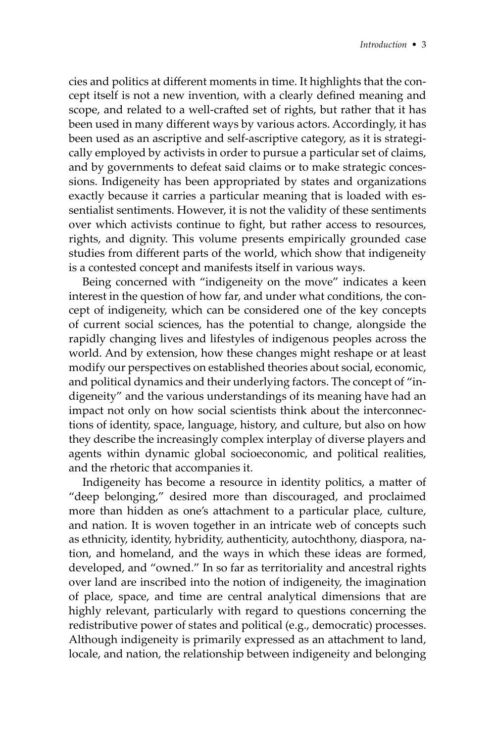cies and politics at different moments in time. It highlights that the concept itself is not a new invention, with a clearly defined meaning and scope, and related to a well-crafted set of rights, but rather that it has been used in many different ways by various actors. Accordingly, it has been used as an ascriptive and self-ascriptive category, as it is strategically employed by activists in order to pursue a particular set of claims, and by governments to defeat said claims or to make strategic concessions. Indigeneity has been appropriated by states and organizations exactly because it carries a particular meaning that is loaded with essentialist sentiments. However, it is not the validity of these sentiments over which activists continue to fight, but rather access to resources, rights, and dignity. This volume presents empirically grounded case studies from different parts of the world, which show that indigeneity is a contested concept and manifests itself in various ways.

Being concerned with "indigeneity on the move" indicates a keen interest in the question of how far, and under what conditions, the concept of indigeneity, which can be considered one of the key concepts of current social sciences, has the potential to change, alongside the rapidly changing lives and lifestyles of indigenous peoples across the world. And by extension, how these changes might reshape or at least modify our perspectives on established theories about social, economic, and political dynamics and their underlying factors. The concept of "indigeneity" and the various understandings of its meaning have had an impact not only on how social scientists think about the interconnections of identity, space, language, history, and culture, but also on how they describe the increasingly complex interplay of diverse players and agents within dynamic global socioeconomic, and political realities, and the rhetoric that accompanies it.

Indigeneity has become a resource in identity politics, a matter of "deep belonging," desired more than discouraged, and proclaimed more than hidden as one's attachment to a particular place, culture, and nation. It is woven together in an intricate web of concepts such as ethnicity, identity, hybridity, authenticity, autochthony, diaspora, nation, and homeland, and the ways in which these ideas are formed, developed, and "owned." In so far as territoriality and ancestral rights over land are inscribed into the notion of indigeneity, the imagination of place, space, and time are central analytical dimensions that are highly relevant, particularly with regard to questions concerning the redistributive power of states and political (e.g., democratic) processes. Although indigeneity is primarily expressed as an attachment to land, locale, and nation, the relationship between indigeneity and belonging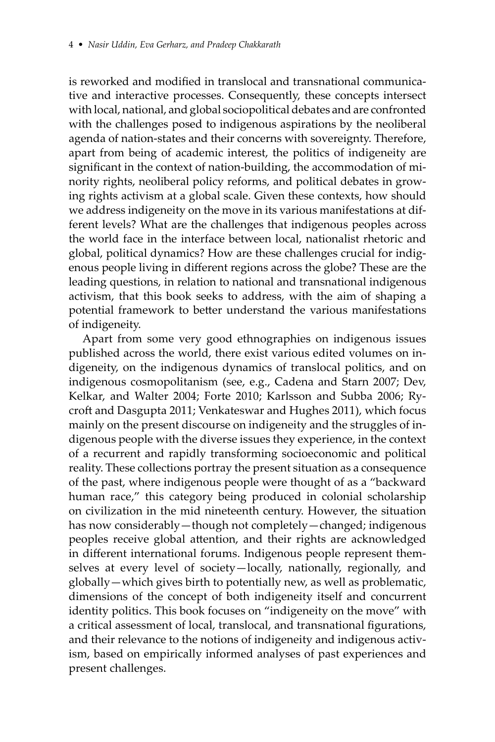is reworked and modified in translocal and transnational communicative and interactive processes. Consequently, these concepts intersect with local, national, and global sociopolitical debates and are confronted with the challenges posed to indigenous aspirations by the neoliberal agenda of nation-states and their concerns with sovereignty. Therefore, apart from being of academic interest, the politics of indigeneity are significant in the context of nation-building, the accommodation of minority rights, neoliberal policy reforms, and political debates in growing rights activism at a global scale. Given these contexts, how should we address indigeneity on the move in its various manifestations at different levels? What are the challenges that indigenous peoples across the world face in the interface between local, nationalist rhetoric and global, political dynamics? How are these challenges crucial for indigenous people living in different regions across the globe? These are the leading questions, in relation to national and transnational indigenous activism, that this book seeks to address, with the aim of shaping a potential framework to better understand the various manifestations of indigeneity.

Apart from some very good ethnographies on indigenous issues published across the world, there exist various edited volumes on indigeneity, on the indigenous dynamics of translocal politics, and on indigenous cosmopolitanism (see, e.g., Cadena and Starn 2007; Dev, Kelkar, and Walter 2004; Forte 2010; Karlsson and Subba 2006; Rycroft and Dasgupta 2011; Venkateswar and Hughes 2011), which focus mainly on the present discourse on indigeneity and the struggles of indigenous people with the diverse issues they experience, in the context of a recurrent and rapidly transforming socioeconomic and political reality. These collections portray the present situation as a consequence of the past, where indigenous people were thought of as a "backward human race," this category being produced in colonial scholarship on civilization in the mid nineteenth century. However, the situation has now considerably—though not completely—changed; indigenous peoples receive global attention, and their rights are acknowledged in different international forums. Indigenous people represent themselves at every level of society—locally, nationally, regionally, and globally—which gives birth to potentially new, as well as problematic, dimensions of the concept of both indigeneity itself and concurrent identity politics. This book focuses on "indigeneity on the move" with a critical assessment of local, translocal, and transnational figurations, and their relevance to the notions of indigeneity and indigenous activism, based on empirically informed analyses of past experiences and present challenges.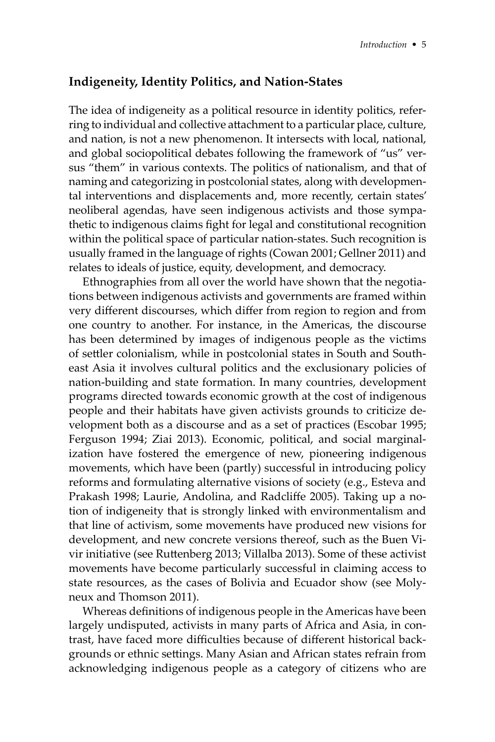#### **Indigeneity, Identity Politics, and Nation-States**

The idea of indigeneity as a political resource in identity politics, referring to individual and collective attachment to a particular place, culture, and nation, is not a new phenomenon. It intersects with local, national, and global sociopolitical debates following the framework of "us" versus "them" in various contexts. The politics of nationalism, and that of naming and categorizing in postcolonial states, along with developmental interventions and displacements and, more recently, certain states' neoliberal agendas, have seen indigenous activists and those sympathetic to indigenous claims fight for legal and constitutional recognition within the political space of particular nation-states. Such recognition is usually framed in the language of rights (Cowan 2001; Gellner 2011) and relates to ideals of justice, equity, development, and democracy.

Ethnographies from all over the world have shown that the negotiations between indigenous activists and governments are framed within very different discourses, which differ from region to region and from one country to another. For instance, in the Americas, the discourse has been determined by images of indigenous people as the victims of settler colonialism, while in postcolonial states in South and Southeast Asia it involves cultural politics and the exclusionary policies of nation-building and state formation. In many countries, development programs directed towards economic growth at the cost of indigenous people and their habitats have given activists grounds to criticize development both as a discourse and as a set of practices (Escobar 1995; Ferguson 1994; Ziai 2013). Economic, political, and social marginalization have fostered the emergence of new, pioneering indigenous movements, which have been (partly) successful in introducing policy reforms and formulating alternative visions of society (e.g., Esteva and Prakash 1998; Laurie, Andolina, and Radcliffe 2005). Taking up a notion of indigeneity that is strongly linked with environmentalism and that line of activism, some movements have produced new visions for development, and new concrete versions thereof, such as the Buen Vivir initiative (see Ruttenberg 2013; Villalba 2013). Some of these activist movements have become particularly successful in claiming access to state resources, as the cases of Bolivia and Ecuador show (see Molyneux and Thomson 2011).

Whereas definitions of indigenous people in the Americas have been largely undisputed, activists in many parts of Africa and Asia, in contrast, have faced more difficulties because of different historical backgrounds or ethnic settings. Many Asian and African states refrain from acknowledging indigenous people as a category of citizens who are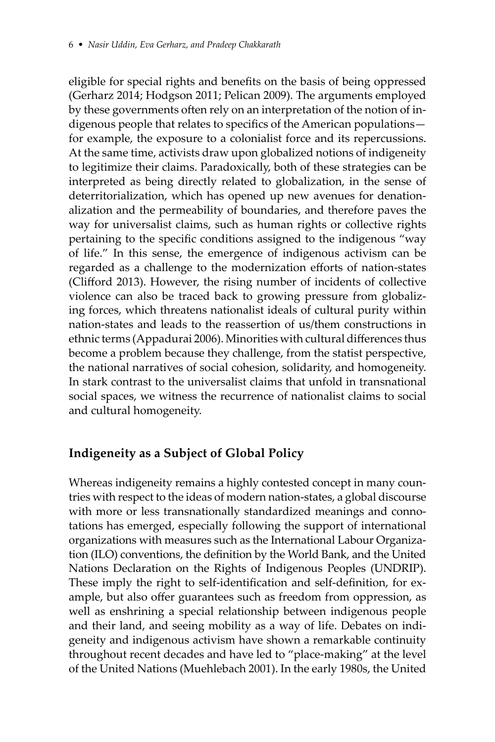eligible for special rights and benefits on the basis of being oppressed (Gerharz 2014; Hodgson 2011; Pelican 2009). The arguments employed by these governments often rely on an interpretation of the notion of indigenous people that relates to specifics of the American populations for example, the exposure to a colonialist force and its repercussions. At the same time, activists draw upon globalized notions of indigeneity to legitimize their claims. Paradoxically, both of these strategies can be interpreted as being directly related to globalization, in the sense of deterritorialization, which has opened up new avenues for denationalization and the permeability of boundaries, and therefore paves the way for universalist claims, such as human rights or collective rights pertaining to the specific conditions assigned to the indigenous "way of life." In this sense, the emergence of indigenous activism can be regarded as a challenge to the modernization efforts of nation-states (Clifford 2013). However, the rising number of incidents of collective violence can also be traced back to growing pressure from globalizing forces, which threatens nationalist ideals of cultural purity within nation-states and leads to the reassertion of us/them constructions in ethnic terms (Appadurai 2006). Minorities with cultural differences thus become a problem because they challenge, from the statist perspective, the national narratives of social cohesion, solidarity, and homogeneity. In stark contrast to the universalist claims that unfold in transnational social spaces, we witness the recurrence of nationalist claims to social and cultural homogeneity.

# **Indigeneity as a Subject of Global Policy**

Whereas indigeneity remains a highly contested concept in many countries with respect to the ideas of modern nation-states, a global discourse with more or less transnationally standardized meanings and connotations has emerged, especially following the support of international organizations with measures such as the International Labour Organization (ILO) conventions, the definition by the World Bank, and the United Nations Declaration on the Rights of Indigenous Peoples (UNDRIP). These imply the right to self-identification and self-definition, for example, but also offer guarantees such as freedom from oppression, as well as enshrining a special relationship between indigenous people and their land, and seeing mobility as a way of life. Debates on indigeneity and indigenous activism have shown a remarkable continuity throughout recent decades and have led to "place-making" at the level of the United Nations (Muehlebach 2001). In the early 1980s, the United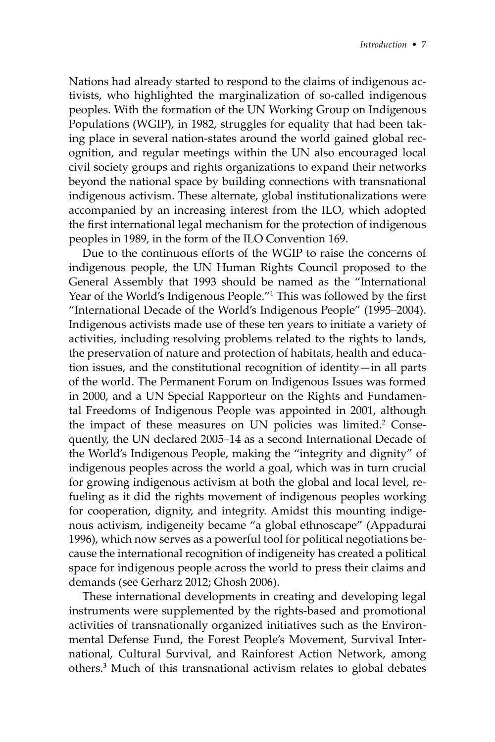Nations had already started to respond to the claims of indigenous activists, who highlighted the marginalization of so-called indigenous peoples. With the formation of the UN Working Group on Indigenous Populations (WGIP), in 1982, struggles for equality that had been taking place in several nation-states around the world gained global recognition, and regular meetings within the UN also encouraged local civil society groups and rights organizations to expand their networks beyond the national space by building connections with transnational indigenous activism. These alternate, global institutionalizations were accompanied by an increasing interest from the ILO, which adopted the first international legal mechanism for the protection of indigenous peoples in 1989, in the form of the ILO Convention 169.

Due to the continuous efforts of the WGIP to raise the concerns of indigenous people, the UN Human Rights Council proposed to the General Assembly that 1993 should be named as the "International Year of the World's Indigenous People."<sup>1</sup> This was followed by the first "International Decade of the World's Indigenous People" (1995–2004). Indigenous activists made use of these ten years to initiate a variety of activities, including resolving problems related to the rights to lands, the preservation of nature and protection of habitats, health and education issues, and the constitutional recognition of identity—in all parts of the world. The Permanent Forum on Indigenous Issues was formed in 2000, and a UN Special Rapporteur on the Rights and Fundamental Freedoms of Indigenous People was appointed in 2001, although the impact of these measures on UN policies was limited.<sup>2</sup> Consequently, the UN declared 2005–14 as a second International Decade of the World's Indigenous People, making the "integrity and dignity" of indigenous peoples across the world a goal, which was in turn crucial for growing indigenous activism at both the global and local level, refueling as it did the rights movement of indigenous peoples working for cooperation, dignity, and integrity. Amidst this mounting indigenous activism, indigeneity became "a global ethnoscape" (Appadurai 1996), which now serves as a powerful tool for political negotiations because the international recognition of indigeneity has created a political space for indigenous people across the world to press their claims and demands (see Gerharz 2012; Ghosh 2006).

These international developments in creating and developing legal instruments were supplemented by the rights-based and promotional activities of transnationally organized initiatives such as the Environmental Defense Fund, the Forest People's Movement, Survival International, Cultural Survival, and Rainforest Action Network, among others.3 Much of this transnational activism relates to global debates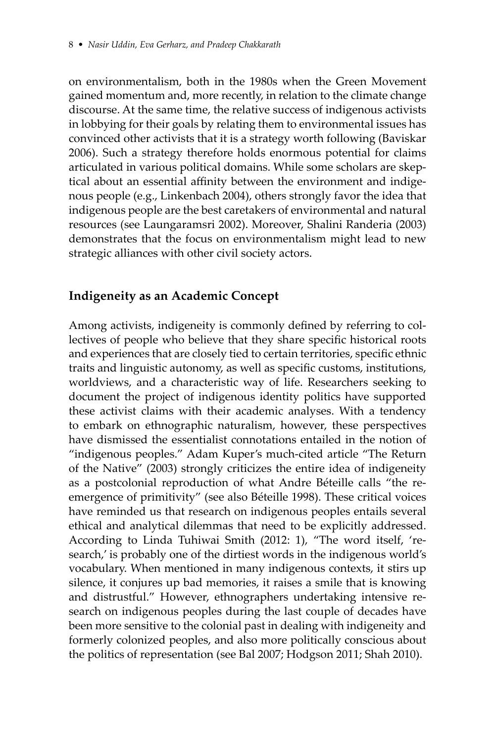on environmentalism, both in the 1980s when the Green Movement gained momentum and, more recently, in relation to the climate change discourse. At the same time, the relative success of indigenous activists in lobbying for their goals by relating them to environmental issues has convinced other activists that it is a strategy worth following (Baviskar 2006). Such a strategy therefore holds enormous potential for claims articulated in various political domains. While some scholars are skeptical about an essential affinity between the environment and indigenous people (e.g., Linkenbach 2004), others strongly favor the idea that indigenous people are the best caretakers of environmental and natural resources (see Laungaramsri 2002). Moreover, Shalini Randeria (2003) demonstrates that the focus on environmentalism might lead to new strategic alliances with other civil society actors.

# **Indigeneity as an Academic Concept**

Among activists, indigeneity is commonly defined by referring to collectives of people who believe that they share specific historical roots and experiences that are closely tied to certain territories, specific ethnic traits and linguistic autonomy, as well as specific customs, institutions, worldviews, and a characteristic way of life. Researchers seeking to document the project of indigenous identity politics have supported these activist claims with their academic analyses. With a tendency to embark on ethnographic naturalism, however, these perspectives have dismissed the essentialist connotations entailed in the notion of "indigenous peoples." Adam Kuper's much-cited article "The Return of the Native" (2003) strongly criticizes the entire idea of indigeneity as a postcolonial reproduction of what Andre Béteille calls "the reemergence of primitivity" (see also Béteille 1998). These critical voices have reminded us that research on indigenous peoples entails several ethical and analytical dilemmas that need to be explicitly addressed. According to Linda Tuhiwai Smith (2012: 1), "The word itself, 'research,' is probably one of the dirtiest words in the indigenous world's vocabulary. When mentioned in many indigenous contexts, it stirs up silence, it conjures up bad memories, it raises a smile that is knowing and distrustful." However, ethnographers undertaking intensive research on indigenous peoples during the last couple of decades have been more sensitive to the colonial past in dealing with indigeneity and formerly colonized peoples, and also more politically conscious about the politics of representation (see Bal 2007; Hodgson 2011; Shah 2010).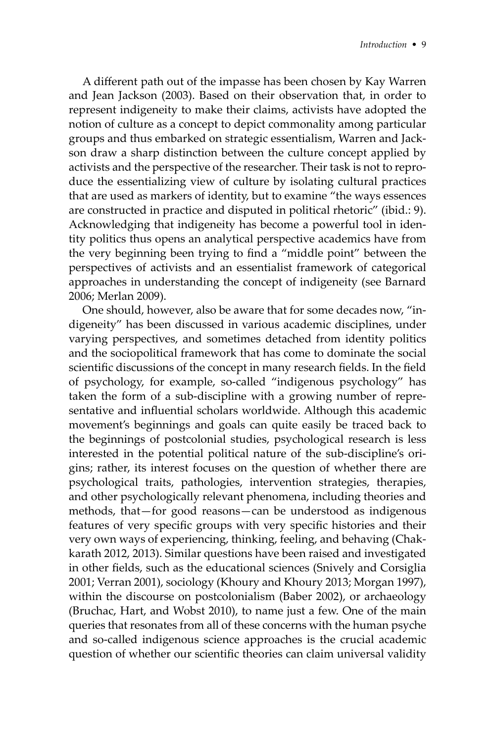A different path out of the impasse has been chosen by Kay Warren and Jean Jackson (2003). Based on their observation that, in order to represent indigeneity to make their claims, activists have adopted the notion of culture as a concept to depict commonality among particular groups and thus embarked on strategic essentialism, Warren and Jackson draw a sharp distinction between the culture concept applied by activists and the perspective of the researcher. Their task is not to reproduce the essentializing view of culture by isolating cultural practices that are used as markers of identity, but to examine "the ways essences are constructed in practice and disputed in political rhetoric" (ibid.: 9). Acknowledging that indigeneity has become a powerful tool in identity politics thus opens an analytical perspective academics have from the very beginning been trying to find a "middle point" between the perspectives of activists and an essentialist framework of categorical approaches in understanding the concept of indigeneity (see Barnard 2006; Merlan 2009).

One should, however, also be aware that for some decades now, "indigeneity" has been discussed in various academic disciplines, under varying perspectives, and sometimes detached from identity politics and the sociopolitical framework that has come to dominate the social scientific discussions of the concept in many research fields. In the field of psychology, for example, so-called "indigenous psychology" has taken the form of a sub-discipline with a growing number of representative and influential scholars worldwide. Although this academic movement's beginnings and goals can quite easily be traced back to the beginnings of postcolonial studies, psychological research is less interested in the potential political nature of the sub-discipline's origins; rather, its interest focuses on the question of whether there are psychological traits, pathologies, intervention strategies, therapies, and other psychologically relevant phenomena, including theories and methods, that—for good reasons—can be understood as indigenous features of very specific groups with very specific histories and their very own ways of experiencing, thinking, feeling, and behaving (Chakkarath 2012, 2013). Similar questions have been raised and investigated in other fields, such as the educational sciences (Snively and Corsiglia 2001; Verran 2001), sociology (Khoury and Khoury 2013; Morgan 1997), within the discourse on postcolonialism (Baber 2002), or archaeology (Bruchac, Hart, and Wobst 2010), to name just a few. One of the main queries that resonates from all of these concerns with the human psyche and so-called indigenous science approaches is the crucial academic question of whether our scientific theories can claim universal validity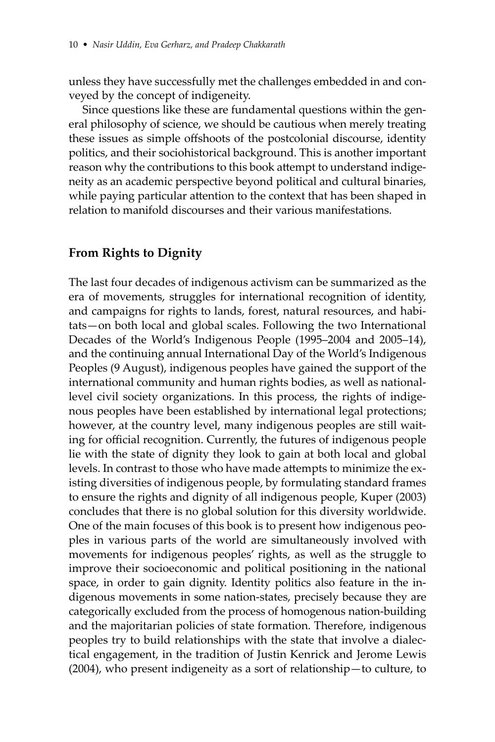unless they have successfully met the challenges embedded in and conveyed by the concept of indigeneity.

Since questions like these are fundamental questions within the general philosophy of science, we should be cautious when merely treating these issues as simple off shoots of the postcolonial discourse, identity politics, and their sociohistorical background. This is another important reason why the contributions to this book attempt to understand indigeneity as an academic perspective beyond political and cultural binaries, while paying particular attention to the context that has been shaped in relation to manifold discourses and their various manifestations.

### **From Rights to Dignity**

The last four decades of indigenous activism can be summarized as the era of movements, struggles for international recognition of identity, and campaigns for rights to lands, forest, natural resources, and habitats—on both local and global scales. Following the two International Decades of the World's Indigenous People (1995–2004 and 2005–14), and the continuing annual International Day of the World's Indigenous Peoples (9 August), indigenous peoples have gained the support of the international community and human rights bodies, as well as nationallevel civil society organizations. In this process, the rights of indigenous peoples have been established by international legal protections; however, at the country level, many indigenous peoples are still waiting for official recognition. Currently, the futures of indigenous people lie with the state of dignity they look to gain at both local and global levels. In contrast to those who have made attempts to minimize the existing diversities of indigenous people, by formulating standard frames to ensure the rights and dignity of all indigenous people, Kuper (2003) concludes that there is no global solution for this diversity worldwide. One of the main focuses of this book is to present how indigenous peoples in various parts of the world are simultaneously involved with movements for indigenous peoples' rights, as well as the struggle to improve their socioeconomic and political positioning in the national space, in order to gain dignity. Identity politics also feature in the indigenous movements in some nation-states, precisely because they are categorically excluded from the process of homogenous nation-building and the majoritarian policies of state formation. Therefore, indigenous peoples try to build relationships with the state that involve a dialectical engagement, in the tradition of Justin Kenrick and Jerome Lewis (2004), who present indigeneity as a sort of relationship—to culture, to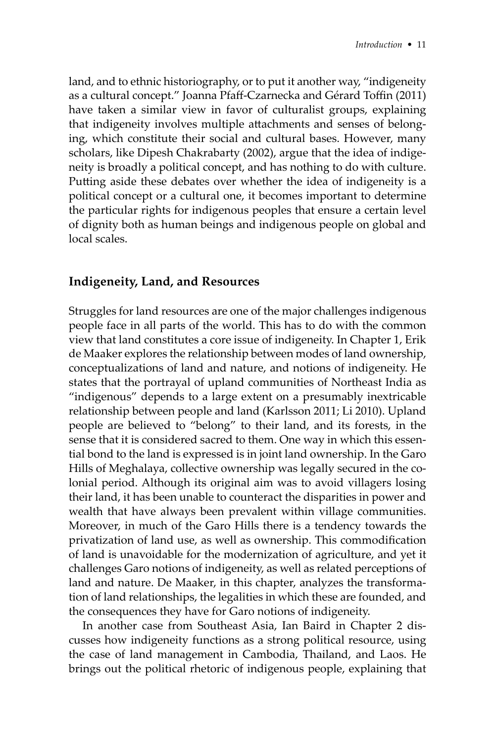land, and to ethnic historiography, or to put it another way, "indigeneity as a cultural concept." Joanna Pfaff-Czarnecka and Gérard Toffin (2011) have taken a similar view in favor of culturalist groups, explaining that indigeneity involves multiple attachments and senses of belonging, which constitute their social and cultural bases. However, many scholars, like Dipesh Chakrabarty (2002), argue that the idea of indigeneity is broadly a political concept, and has nothing to do with culture. Putting aside these debates over whether the idea of indigeneity is a political concept or a cultural one, it becomes important to determine the particular rights for indigenous peoples that ensure a certain level of dignity both as human beings and indigenous people on global and local scales.

#### **Indigeneity, Land, and Resources**

Struggles for land resources are one of the major challenges indigenous people face in all parts of the world. This has to do with the common view that land constitutes a core issue of indigeneity. In Chapter 1, Erik de Maaker explores the relationship between modes of land ownership, conceptualizations of land and nature, and notions of indigeneity. He states that the portrayal of upland communities of Northeast India as "indigenous" depends to a large extent on a presumably inextricable relationship between people and land (Karlsson 2011; Li 2010). Upland people are believed to "belong" to their land, and its forests, in the sense that it is considered sacred to them. One way in which this essential bond to the land is expressed is in joint land ownership. In the Garo Hills of Meghalaya, collective ownership was legally secured in the colonial period. Although its original aim was to avoid villagers losing their land, it has been unable to counteract the disparities in power and wealth that have always been prevalent within village communities. Moreover, in much of the Garo Hills there is a tendency towards the privatization of land use, as well as ownership. This commodification of land is unavoidable for the modernization of agriculture, and yet it challenges Garo notions of indigeneity, as well as related perceptions of land and nature. De Maaker, in this chapter, analyzes the transformation of land relationships, the legalities in which these are founded, and the consequences they have for Garo notions of indigeneity.

In another case from Southeast Asia, Ian Baird in Chapter 2 discusses how indigeneity functions as a strong political resource, using the case of land management in Cambodia, Thailand, and Laos. He brings out the political rhetoric of indigenous people, explaining that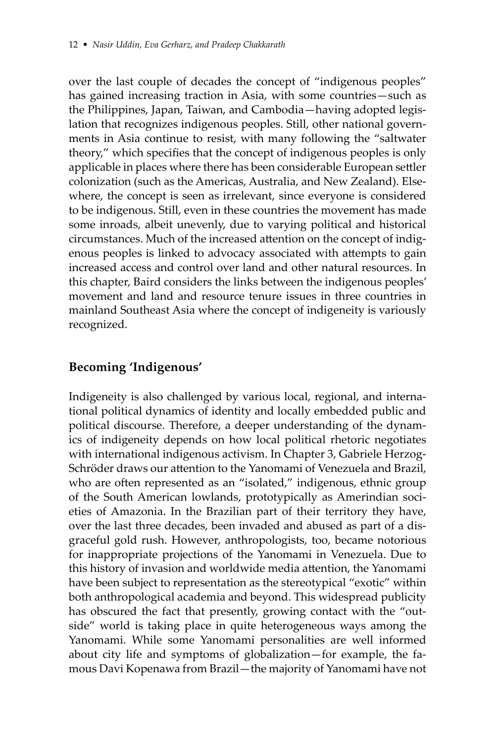over the last couple of decades the concept of "indigenous peoples" has gained increasing traction in Asia, with some countries—such as the Philippines, Japan, Taiwan, and Cambodia—having adopted legislation that recognizes indigenous peoples. Still, other national governments in Asia continue to resist, with many following the "saltwater theory," which specifies that the concept of indigenous peoples is only applicable in places where there has been considerable European settler colonization (such as the Americas, Australia, and New Zealand). Elsewhere, the concept is seen as irrelevant, since everyone is considered to be indigenous. Still, even in these countries the movement has made some inroads, albeit unevenly, due to varying political and historical circumstances. Much of the increased attention on the concept of indigenous peoples is linked to advocacy associated with attempts to gain increased access and control over land and other natural resources. In this chapter, Baird considers the links between the indigenous peoples' movement and land and resource tenure issues in three countries in mainland Southeast Asia where the concept of indigeneity is variously recognized.

## **Becoming 'Indigenous'**

Indigeneity is also challenged by various local, regional, and international political dynamics of identity and locally embedded public and political discourse. Therefore, a deeper understanding of the dynamics of indigeneity depends on how local political rhetoric negotiates with international indigenous activism. In Chapter 3, Gabriele Herzog-Schröder draws our attention to the Yanomami of Venezuela and Brazil, who are often represented as an "isolated," indigenous, ethnic group of the South American lowlands, prototypically as Amerindian societies of Amazonia. In the Brazilian part of their territory they have, over the last three decades, been invaded and abused as part of a disgraceful gold rush. However, anthropologists, too, became notorious for inappropriate projections of the Yanomami in Venezuela. Due to this history of invasion and worldwide media attention, the Yanomami have been subject to representation as the stereotypical "exotic" within both anthropological academia and beyond. This widespread publicity has obscured the fact that presently, growing contact with the "outside" world is taking place in quite heterogeneous ways among the Yanomami. While some Yanomami personalities are well informed about city life and symptoms of globalization—for example, the famous Davi Kopenawa from Brazil—the majority of Yanomami have not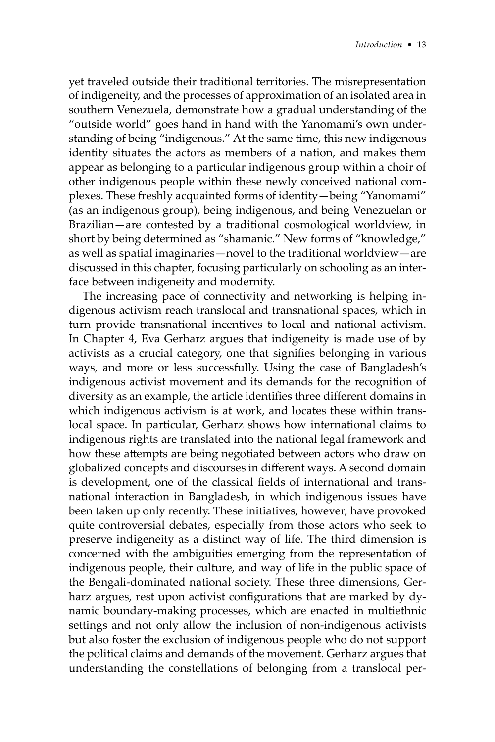yet traveled outside their traditional territories. The misrepresentation of indigeneity, and the processes of approximation of an isolated area in southern Venezuela, demonstrate how a gradual understanding of the "outside world" goes hand in hand with the Yanomami's own understanding of being "indigenous." At the same time, this new indigenous identity situates the actors as members of a nation, and makes them appear as belonging to a particular indigenous group within a choir of other indigenous people within these newly conceived national complexes. These freshly acquainted forms of identity—being "Yanomami" (as an indigenous group), being indigenous, and being Venezuelan or Brazilian—are contested by a traditional cosmological worldview, in short by being determined as "shamanic." New forms of "knowledge," as well as spatial imaginaries—novel to the traditional worldview—are discussed in this chapter, focusing particularly on schooling as an interface between indigeneity and modernity.

The increasing pace of connectivity and networking is helping indigenous activism reach translocal and transnational spaces, which in turn provide transnational incentives to local and national activism. In Chapter 4, Eva Gerharz argues that indigeneity is made use of by activists as a crucial category, one that signifies belonging in various ways, and more or less successfully. Using the case of Bangladesh's indigenous activist movement and its demands for the recognition of diversity as an example, the article identifies three different domains in which indigenous activism is at work, and locates these within translocal space. In particular, Gerharz shows how international claims to indigenous rights are translated into the national legal framework and how these attempts are being negotiated between actors who draw on globalized concepts and discourses in different ways. A second domain is development, one of the classical fields of international and transnational interaction in Bangladesh, in which indigenous issues have been taken up only recently. These initiatives, however, have provoked quite controversial debates, especially from those actors who seek to preserve indigeneity as a distinct way of life. The third dimension is concerned with the ambiguities emerging from the representation of indigenous people, their culture, and way of life in the public space of the Bengali-dominated national society. These three dimensions, Gerharz argues, rest upon activist configurations that are marked by dynamic boundary-making processes, which are enacted in multiethnic settings and not only allow the inclusion of non-indigenous activists but also foster the exclusion of indigenous people who do not support the political claims and demands of the movement. Gerharz argues that understanding the constellations of belonging from a translocal per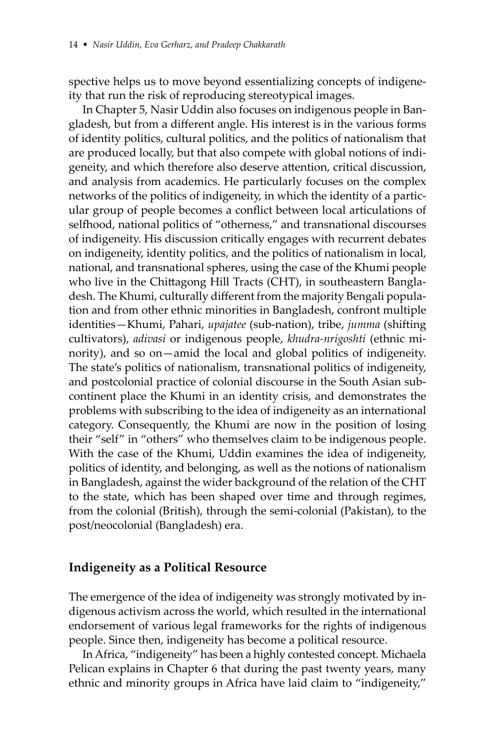spective helps us to move beyond essentializing concepts of indigeneity that run the risk of reproducing stereotypical images.

In Chapter 5, Nasir Uddin also focuses on indigenous people in Bangladesh, but from a different angle. His interest is in the various forms of identity politics, cultural politics, and the politics of nationalism that are produced locally, but that also compete with global notions of indigeneity, and which therefore also deserve attention, critical discussion, and analysis from academics. He particularly focuses on the complex networks of the politics of indigeneity, in which the identity of a particular group of people becomes a conflict between local articulations of selfhood, national politics of "otherness," and transnational discourses of indigeneity. His discussion critically engages with recurrent debates on indigeneity, identity politics, and the politics of nationalism in local, national, and transnational spheres, using the case of the Khumi people who live in the Chittagong Hill Tracts (CHT), in southeastern Bangladesh. The Khumi, culturally different from the majority Bengali population and from other ethnic minorities in Bangladesh, confront multiple identities—Khumi, Pahari, *upajatee* (sub-nation), tribe, *jumma* (shifting cultivators), *adivasi* or indigenous people, *khudra-nrigoshti* (ethnic minority), and so on—amid the local and global politics of indigeneity. The state's politics of nationalism, transnational politics of indigeneity, and postcolonial practice of colonial discourse in the South Asian subcontinent place the Khumi in an identity crisis, and demonstrates the problems with subscribing to the idea of indigeneity as an international category. Consequently, the Khumi are now in the position of losing their "self" in "others" who themselves claim to be indigenous people. With the case of the Khumi, Uddin examines the idea of indigeneity, politics of identity, and belonging, as well as the notions of nationalism in Bangladesh, against the wider background of the relation of the CHT to the state, which has been shaped over time and through regimes, from the colonial (British), through the semi-colonial (Pakistan), to the post/neocolonial (Bangladesh) era.

#### **Indigeneity as a Political Resource**

The emergence of the idea of indigeneity was strongly motivated by indigenous activism across the world, which resulted in the international endorsement of various legal frameworks for the rights of indigenous people. Since then, indigeneity has become a political resource.

In Africa, "indigeneity" has been a highly contested concept. Michaela Pelican explains in Chapter 6 that during the past twenty years, many ethnic and minority groups in Africa have laid claim to "indigeneity,"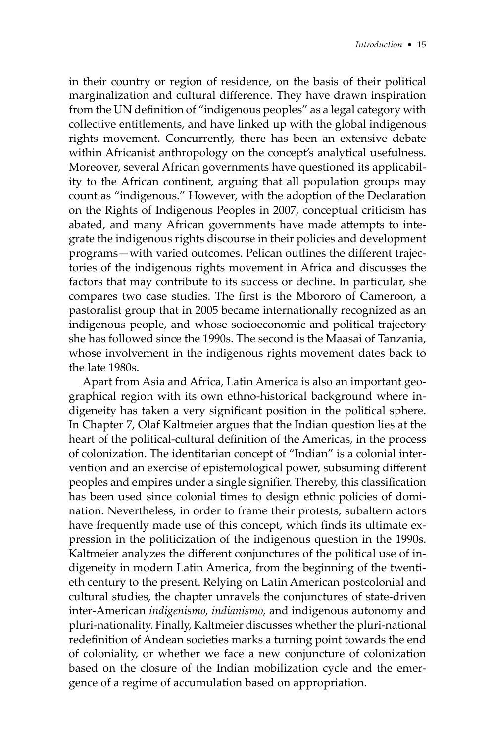in their country or region of residence, on the basis of their political marginalization and cultural difference. They have drawn inspiration from the UN definition of "indigenous peoples" as a legal category with collective entitlements, and have linked up with the global indigenous rights movement. Concurrently, there has been an extensive debate within Africanist anthropology on the concept's analytical usefulness. Moreover, several African governments have questioned its applicability to the African continent, arguing that all population groups may count as "indigenous." However, with the adoption of the Declaration on the Rights of Indigenous Peoples in 2007, conceptual criticism has abated, and many African governments have made attempts to integrate the indigenous rights discourse in their policies and development programs—with varied outcomes. Pelican outlines the different trajectories of the indigenous rights movement in Africa and discusses the factors that may contribute to its success or decline. In particular, she compares two case studies. The first is the Mbororo of Cameroon, a pastoralist group that in 2005 became internationally recognized as an indigenous people, and whose socioeconomic and political trajectory she has followed since the 1990s. The second is the Maasai of Tanzania, whose involvement in the indigenous rights movement dates back to the late 1980s.

Apart from Asia and Africa, Latin America is also an important geographical region with its own ethno-historical background where indigeneity has taken a very significant position in the political sphere. In Chapter 7, Olaf Kaltmeier argues that the Indian question lies at the heart of the political-cultural definition of the Americas, in the process of colonization. The identitarian concept of "Indian" is a colonial intervention and an exercise of epistemological power, subsuming different peoples and empires under a single signifier. Thereby, this classification has been used since colonial times to design ethnic policies of domination. Nevertheless, in order to frame their protests, subaltern actors have frequently made use of this concept, which finds its ultimate expression in the politicization of the indigenous question in the 1990s. Kaltmeier analyzes the different conjunctures of the political use of indigeneity in modern Latin America, from the beginning of the twentieth century to the present. Relying on Latin American postcolonial and cultural studies, the chapter unravels the conjunctures of state-driven inter-American *indigenismo, indianismo,* and indigenous autonomy and pluri-nationality. Finally, Kaltmeier discusses whether the pluri-national redefinition of Andean societies marks a turning point towards the end of coloniality, or whether we face a new conjuncture of colonization based on the closure of the Indian mobilization cycle and the emergence of a regime of accumulation based on appropriation.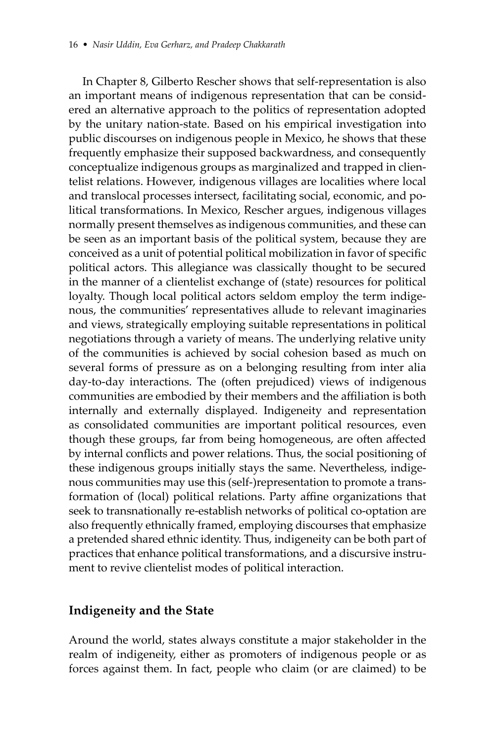In Chapter 8, Gilberto Rescher shows that self-representation is also an important means of indigenous representation that can be considered an alternative approach to the politics of representation adopted by the unitary nation-state. Based on his empirical investigation into public discourses on indigenous people in Mexico, he shows that these frequently emphasize their supposed backwardness, and consequently conceptualize indigenous groups as marginalized and trapped in clientelist relations. However, indigenous villages are localities where local and translocal processes intersect, facilitating social, economic, and political transformations. In Mexico, Rescher argues, indigenous villages normally present themselves as indigenous communities, and these can be seen as an important basis of the political system, because they are conceived as a unit of potential political mobilization in favor of specific political actors. This allegiance was classically thought to be secured in the manner of a clientelist exchange of (state) resources for political loyalty. Though local political actors seldom employ the term indigenous, the communities' representatives allude to relevant imaginaries and views, strategically employing suitable representations in political negotiations through a variety of means. The underlying relative unity of the communities is achieved by social cohesion based as much on several forms of pressure as on a belonging resulting from inter alia day-to-day interactions. The (often prejudiced) views of indigenous communities are embodied by their members and the affiliation is both internally and externally displayed. Indigeneity and representation as consolidated communities are important political resources, even though these groups, far from being homogeneous, are often affected by internal conflicts and power relations. Thus, the social positioning of these indigenous groups initially stays the same. Nevertheless, indigenous communities may use this (self-)representation to promote a transformation of (local) political relations. Party affine organizations that seek to transnationally re-establish networks of political co-optation are also frequently ethnically framed, employing discourses that emphasize a pretended shared ethnic identity. Thus, indigeneity can be both part of practices that enhance political transformations, and a discursive instrument to revive clientelist modes of political interaction.

#### **Indigeneity and the State**

Around the world, states always constitute a major stakeholder in the realm of indigeneity, either as promoters of indigenous people or as forces against them. In fact, people who claim (or are claimed) to be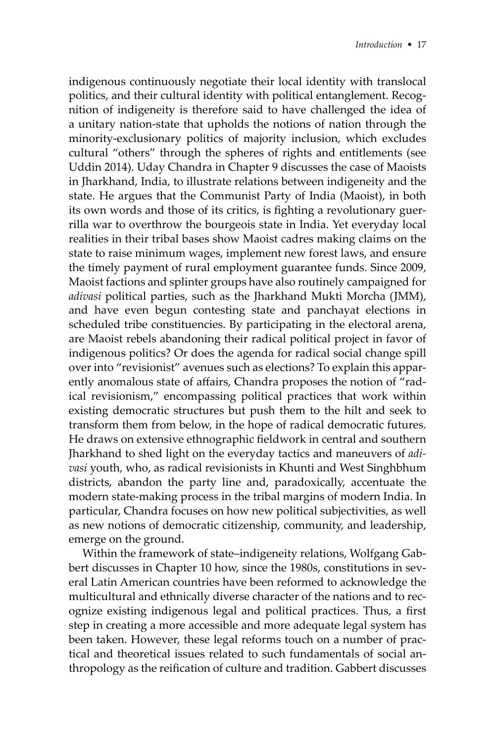indigenous continuously negotiate their local identity with translocal politics, and their cultural identity with political entanglement. Recognition of indigeneity is therefore said to have challenged the idea of a unitary nation-state that upholds the notions of nation through the minority-exclusionary politics of majority inclusion, which excludes cultural "others" through the spheres of rights and entitlements (see Uddin 2014). Uday Chandra in Chapter 9 discusses the case of Maoists in Jharkhand, India, to illustrate relations between indigeneity and the state. He argues that the Communist Party of India (Maoist), in both its own words and those of its critics, is fighting a revolutionary guerrilla war to overthrow the bourgeois state in India. Yet everyday local realities in their tribal bases show Maoist cadres making claims on the state to raise minimum wages, implement new forest laws, and ensure the timely payment of rural employment guarantee funds. Since 2009, Maoist factions and splinter groups have also routinely campaigned for *adivasi* political parties, such as the Jharkhand Mukti Morcha (JMM), and have even begun contesting state and panchayat elections in scheduled tribe constituencies. By participating in the electoral arena, are Maoist rebels abandoning their radical political project in favor of indigenous politics? Or does the agenda for radical social change spill over into "revisionist" avenues such as elections? To explain this apparently anomalous state of affairs, Chandra proposes the notion of "radical revisionism," encompassing political practices that work within existing democratic structures but push them to the hilt and seek to transform them from below, in the hope of radical democratic futures. He draws on extensive ethnographic fieldwork in central and southern Jharkhand to shed light on the everyday tactics and maneuvers of *adivasi* youth, who, as radical revisionists in Khunti and West Singhbhum districts, abandon the party line and, paradoxically, accentuate the modern state-making process in the tribal margins of modern India. In particular, Chandra focuses on how new political subjectivities, as well as new notions of democratic citizenship, community, and leadership, emerge on the ground.

Within the framework of state–indigeneity relations, Wolfgang Gabbert discusses in Chapter 10 how, since the 1980s, constitutions in several Latin American countries have been reformed to acknowledge the multicultural and ethnically diverse character of the nations and to recognize existing indigenous legal and political practices. Thus, a first step in creating a more accessible and more adequate legal system has been taken. However, these legal reforms touch on a number of practical and theoretical issues related to such fundamentals of social anthropology as the reification of culture and tradition. Gabbert discusses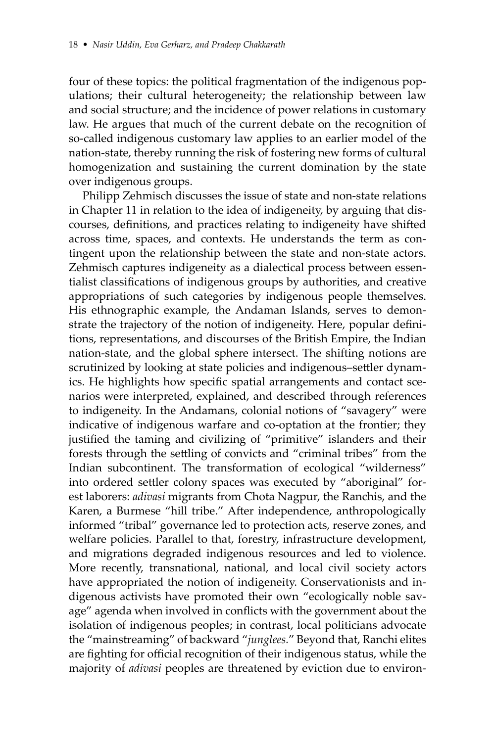four of these topics: the political fragmentation of the indigenous populations; their cultural heterogeneity; the relationship between law and social structure; and the incidence of power relations in customary law. He argues that much of the current debate on the recognition of so-called indigenous customary law applies to an earlier model of the nation-state, thereby running the risk of fostering new forms of cultural homogenization and sustaining the current domination by the state over indigenous groups.

Philipp Zehmisch discusses the issue of state and non-state relations in Chapter 11 in relation to the idea of indigeneity, by arguing that discourses, definitions, and practices relating to indigeneity have shifted across time, spaces, and contexts. He understands the term as contingent upon the relationship between the state and non-state actors. Zehmisch captures indigeneity as a dialectical process between essentialist classifications of indigenous groups by authorities, and creative appropriations of such categories by indigenous people themselves. His ethnographic example, the Andaman Islands, serves to demonstrate the trajectory of the notion of indigeneity. Here, popular definitions, representations, and discourses of the British Empire, the Indian nation-state, and the global sphere intersect. The shifting notions are scrutinized by looking at state policies and indigenous–settler dynamics. He highlights how specific spatial arrangements and contact scenarios were interpreted, explained, and described through references to indigeneity. In the Andamans, colonial notions of "savagery" were indicative of indigenous warfare and co-optation at the frontier; they justified the taming and civilizing of "primitive" islanders and their forests through the settling of convicts and "criminal tribes" from the Indian subcontinent. The transformation of ecological "wilderness" into ordered settler colony spaces was executed by "aboriginal" forest laborers: *adivasi* migrants from Chota Nagpur, the Ranchis, and the Karen, a Burmese "hill tribe." After independence, anthropologically informed "tribal" governance led to protection acts, reserve zones, and welfare policies. Parallel to that, forestry, infrastructure development, and migrations degraded indigenous resources and led to violence. More recently, transnational, national, and local civil society actors have appropriated the notion of indigeneity. Conservationists and indigenous activists have promoted their own "ecologically noble savage" agenda when involved in conflicts with the government about the isolation of indigenous peoples; in contrast, local politicians advocate the "mainstreaming" of backward "*junglees.*" Beyond that, Ranchi elites are fighting for official recognition of their indigenous status, while the majority of *adivasi* peoples are threatened by eviction due to environ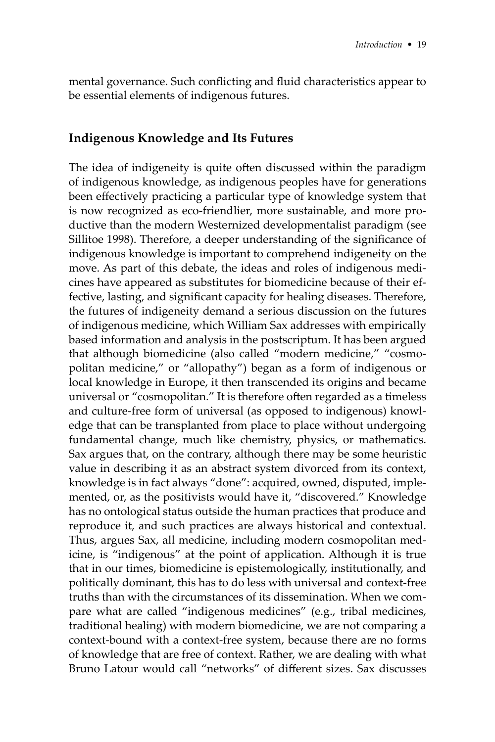mental governance. Such conflicting and fluid characteristics appear to be essential elements of indigenous futures.

#### **Indigenous Knowledge and Its Futures**

The idea of indigeneity is quite often discussed within the paradigm of indigenous knowledge, as indigenous peoples have for generations been effectively practicing a particular type of knowledge system that is now recognized as eco-friendlier, more sustainable, and more productive than the modern Westernized developmentalist paradigm (see Sillitoe 1998). Therefore, a deeper understanding of the significance of indigenous knowledge is important to comprehend indigeneity on the move. As part of this debate, the ideas and roles of indigenous medicines have appeared as substitutes for biomedicine because of their effective, lasting, and significant capacity for healing diseases. Therefore, the futures of indigeneity demand a serious discussion on the futures of indigenous medicine, which William Sax addresses with empirically based information and analysis in the postscriptum. It has been argued that although biomedicine (also called "modern medicine," "cosmopolitan medicine," or "allopathy") began as a form of indigenous or local knowledge in Europe, it then transcended its origins and became universal or "cosmopolitan." It is therefore often regarded as a timeless and culture-free form of universal (as opposed to indigenous) knowledge that can be transplanted from place to place without undergoing fundamental change, much like chemistry, physics, or mathematics. Sax argues that, on the contrary, although there may be some heuristic value in describing it as an abstract system divorced from its context, knowledge is in fact always "done": acquired, owned, disputed, implemented, or, as the positivists would have it, "discovered." Knowledge has no ontological status outside the human practices that produce and reproduce it, and such practices are always historical and contextual. Thus, argues Sax, all medicine, including modern cosmopolitan medicine, is "indigenous" at the point of application. Although it is true that in our times, biomedicine is epistemologically, institutionally, and politically dominant, this has to do less with universal and context-free truths than with the circumstances of its dissemination. When we compare what are called "indigenous medicines" (e.g., tribal medicines, traditional healing) with modern biomedicine, we are not comparing a context-bound with a context-free system, because there are no forms of knowledge that are free of context. Rather, we are dealing with what Bruno Latour would call "networks" of different sizes. Sax discusses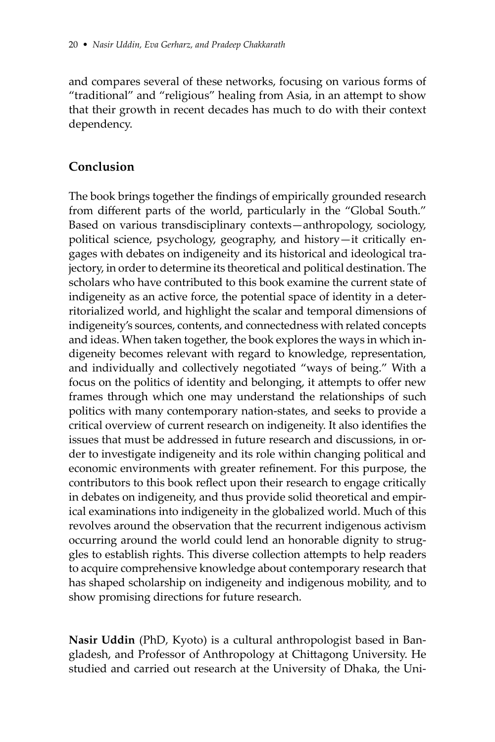and compares several of these networks, focusing on various forms of "traditional" and "religious" healing from Asia, in an attempt to show that their growth in recent decades has much to do with their context dependency.

# **Conclusion**

The book brings together the findings of empirically grounded research from different parts of the world, particularly in the "Global South." Based on various transdisciplinary contexts—anthropology, sociology, political science, psychology, geography, and history—it critically engages with debates on indigeneity and its historical and ideological trajectory, in order to determine its theoretical and political destination. The scholars who have contributed to this book examine the current state of indigeneity as an active force, the potential space of identity in a deterritorialized world, and highlight the scalar and temporal dimensions of indigeneity's sources, contents, and connectedness with related concepts and ideas. When taken together, the book explores the ways in which indigeneity becomes relevant with regard to knowledge, representation, and individually and collectively negotiated "ways of being." With a focus on the politics of identity and belonging, it attempts to offer new frames through which one may understand the relationships of such politics with many contemporary nation-states, and seeks to provide a critical overview of current research on indigeneity. It also identifies the issues that must be addressed in future research and discussions, in order to investigate indigeneity and its role within changing political and economic environments with greater refinement. For this purpose, the contributors to this book reflect upon their research to engage critically in debates on indigeneity, and thus provide solid theoretical and empirical examinations into indigeneity in the globalized world. Much of this revolves around the observation that the recurrent indigenous activism occurring around the world could lend an honorable dignity to struggles to establish rights. This diverse collection attempts to help readers to acquire comprehensive knowledge about contemporary research that has shaped scholarship on indigeneity and indigenous mobility, and to show promising directions for future research.

**Nasir Uddin** (PhD, Kyoto) is a cultural anthropologist based in Bangladesh, and Professor of Anthropology at Chittagong University. He studied and carried out research at the University of Dhaka, the Uni-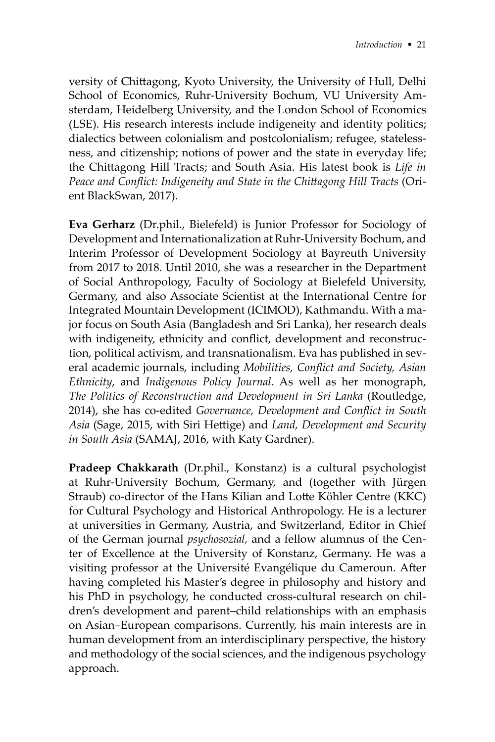versity of Chittagong, Kyoto University, the University of Hull, Delhi School of Economics, Ruhr-University Bochum, VU University Amsterdam, Heidelberg University, and the London School of Economics (LSE). His research interests include indigeneity and identity politics; dialectics between colonialism and postcolonialism; refugee, statelessness, and citizenship; notions of power and the state in everyday life; the Chitt agong Hill Tracts; and South Asia. His latest book is *Life in Peace and Conflict: Indigeneity and State in the Chittagong Hill Tracts* (Orient BlackSwan, 2017).

**Eva Gerharz** (Dr.phil., Bielefeld) is Junior Professor for Sociology of Development and Internationalization at Ruhr-University Bochum, and Interim Professor of Development Sociology at Bayreuth University from 2017 to 2018. Until 2010, she was a researcher in the Department of Social Anthropology, Faculty of Sociology at Bielefeld University, Germany, and also Associate Scientist at the International Centre for Integrated Mountain Development (ICIMOD), Kathmandu. With a major focus on South Asia (Bangladesh and Sri Lanka), her research deals with indigeneity, ethnicity and conflict, development and reconstruction, political activism, and transnationalism. Eva has published in several academic journals, including *Mobilities*, *Conflict and Society*, *Asian Ethnicity*, and *Indigenous Policy Journal*. As well as her monograph, *The Politics of Reconstruction and Development in Sri Lanka* (Routledge, 2014), she has co-edited *Governance*, *Development and Conflict in South* Asia (Sage, 2015, with Siri Hettige) and *Land*, Development and Security *in South Asia* (SAMAJ, 2016, with Katy Gardner).

**Pradeep Chakkarath** (Dr.phil., Konstanz) is a cultural psychologist at Ruhr-University Bochum, Germany, and (together with Jürgen Straub) co-director of the Hans Kilian and Lotte Köhler Centre (KKC) for Cultural Psychology and Historical Anthropology. He is a lecturer at universities in Germany, Austria, and Switzerland, Editor in Chief of the German journal *psychosozial,* and a fellow alumnus of the Center of Excellence at the University of Konstanz, Germany. He was a visiting professor at the Université Evangélique du Cameroun. After having completed his Master's degree in philosophy and history and his PhD in psychology, he conducted cross-cultural research on children's development and parent–child relationships with an emphasis on Asian–European comparisons. Currently, his main interests are in human development from an interdisciplinary perspective, the history and methodology of the social sciences, and the indigenous psychology approach.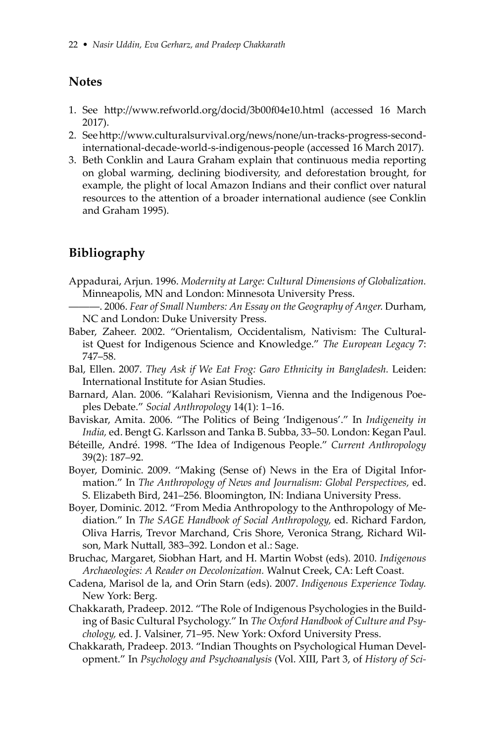#### **Notes**

- 1. See http://www.refworld.org/docid/3b00f04e10.html (accessed 16 March 2017).
- 2. See http://www.culturalsurvival.org/news/none/un-tracks-progress-secondinternational-decade-world-s-indigenous-people (accessed 16 March 2017).
- 3. Beth Conklin and Laura Graham explain that continuous media reporting on global warming, declining biodiversity, and deforestation brought, for example, the plight of local Amazon Indians and their conflict over natural resources to the attention of a broader international audience (see Conklin and Graham 1995).

# **Bibliography**

- Appadurai, Arjun. 1996. Modernity at Large: Cultural Dimensions of Globalization. Minneapolis, MN and London: Minnesota University Press.
- ———. 2006. *Fear of Small Numbers: An Essay on the Geography of Anger.* Durham, NC and London: Duke University Press.
- Baber, Zaheer. 2002. "Orientalism, Occidentalism, Nativism: The Culturalist Quest for Indigenous Science and Knowledge." *The European Legacy* 7: 747–58.
- Bal, Ellen. 2007. *They Ask if We Eat Frog: Garo Ethnicity in Bangladesh.* Leiden: International Institute for Asian Studies.
- Barnard, Alan. 2006. "Kalahari Revisionism, Vienna and the Indigenous Poeples Debate." *Social Anthropology* 14(1): 1–16.
- Baviskar, Amita. 2006. "The Politics of Being 'Indigenous'." In *Indigeneity in India,* ed. Bengt G. Karlsson and Tanka B. Subba, 33–50. London: Kegan Paul.
- Béteille, André. 1998. "The Idea of Indigenous People." *Current Anthropology* 39(2): 187–92.
- Boyer, Dominic. 2009. "Making (Sense of) News in the Era of Digital Information." In *The Anthropology of News and Journalism: Global Perspectives,* ed. S. Elizabeth Bird, 241–256. Bloomington, IN: Indiana University Press.
- Boyer, Dominic. 2012. "From Media Anthropology to the Anthropology of Mediation." In *The SAGE Handbook of Social Anthropology,* ed. Richard Fardon, Oliva Harris, Trevor Marchand, Cris Shore, Veronica Strang, Richard Wilson, Mark Nuttall, 383-392. London et al.: Sage.
- Bruchac, Margaret, Siobhan Hart, and H. Martin Wobst (eds). 2010. *Indigenous Archaeologies: A Reader on Decolonization.* Walnut Creek, CA: Left Coast.
- Cadena, Marisol de la, and Orin Starn (eds). 2007. *Indigenous Experience Today.* New York: Berg.
- Chakkarath, Pradeep. 2012. "The Role of Indigenous Psychologies in the Building of Basic Cultural Psychology." In *The Oxford Handbook of Culture and Psychology,* ed. J. Valsiner*,* 71–95. New York: Oxford University Press.
- Chakkarath, Pradeep. 2013. "Indian Thoughts on Psychological Human Development." In *Psychology and Psychoanalysis* (Vol. XIII, Part 3, of *History of Sci-*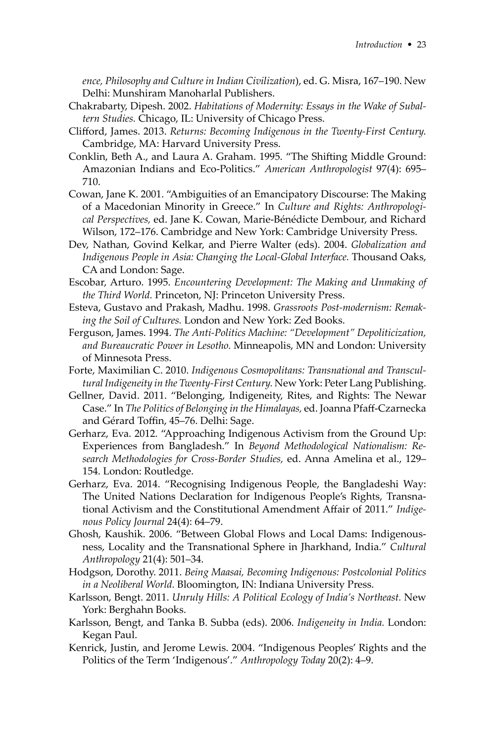*ence, Philosophy and Culture in Indian Civilization*), ed. G. Misra, 167–190. New Delhi: Munshiram Manoharlal Publishers.

- Chakrabarty, Dipesh. 2002. *Habitations of Modernity: Essays in the Wake of Subaltern Studies.* Chicago, IL: University of Chicago Press.
- Cliff ord, James. 2013. *Returns: Becoming Indigenous in the Twenty-First Century.*  Cambridge, MA: Harvard University Press.
- Conklin, Beth A., and Laura A. Graham. 1995. "The Shifting Middle Ground: Amazonian Indians and Eco-Politics." *American Anthropologist* 97(4): 695– 710.
- Cowan, Jane K. 2001. "Ambiguities of an Emancipatory Discourse: The Making of a Macedonian Minority in Greece." In *Culture and Rights: Anthropological Perspectives,* ed. Jane K. Cowan, Marie-Bénédicte Dembour, and Richard Wilson, 172–176. Cambridge and New York: Cambridge University Press.
- Dev, Nathan, Govind Kelkar, and Pierre Walter (eds). 2004. *Globalization and Indigenous People in Asia: Changing the Local-Global Interface.* Thousand Oaks, CA and London: Sage.
- Escobar, Arturo. 1995. *Encountering Development: The Making and Unmaking of the Third World.* Princeton, NJ: Princeton University Press.
- Esteva, Gustavo and Prakash, Madhu. 1998. *Grassroots Post-modernism: Remaking the Soil of Cultures.* London and New York: Zed Books.
- Ferguson, James. 1994. *The Anti-Politics Machine: "Development" Depoliticization, and Bureaucratic Power in Lesotho.* Minneapolis, MN and London: University of Minnesota Press.
- Forte, Maximilian C. 2010. *Indigenous Cosmopolitans: Transnational and Transcultural Indigeneity in the Twenty-First Century.* New York: Peter Lang Publishing.
- Gellner, David. 2011. "Belonging, Indigeneity, Rites, and Rights: The Newar Case." In *The Politics of Belonging in the Himalayas,* ed. Joanna Pfaff -Czarnecka and Gérard Toffin, 45-76. Delhi: Sage.
- Gerharz, Eva. 2012. "Approaching Indigenous Activism from the Ground Up: Experiences from Bangladesh." In *Beyond Methodological Nationalism: Research Methodologies for Cross-Border Studies,* ed. Anna Amelina et al., 129– 154. London: Routledge.
- Gerharz, Eva. 2014. "Recognising Indigenous People, the Bangladeshi Way: The United Nations Declaration for Indigenous People's Rights, Transnational Activism and the Constitutional Amendment Affair of 2011." Indige*nous Policy Journal* 24(4): 64–79.
- Ghosh, Kaushik. 2006. "Between Global Flows and Local Dams: Indigenousness, Locality and the Transnational Sphere in Jharkhand, India." *Cultural Anthropology* 21(4): 501–34.
- Hodgson, Dorothy. 2011. *Being Maasai, Becoming Indigenous: Postcolonial Politics in a Neoliberal World.* Bloomington, IN: Indiana University Press.
- Karlsson, Bengt. 2011. *Unruly Hills: A Political Ecology of India's Northeast.* New York: Berghahn Books.
- Karlsson, Bengt, and Tanka B. Subba (eds). 2006. *Indigeneity in India.* London: Kegan Paul.
- Kenrick, Justin, and Jerome Lewis. 2004. "Indigenous Peoples' Rights and the Politics of the Term 'Indigenous'." *Anthropology Today* 20(2): 4–9.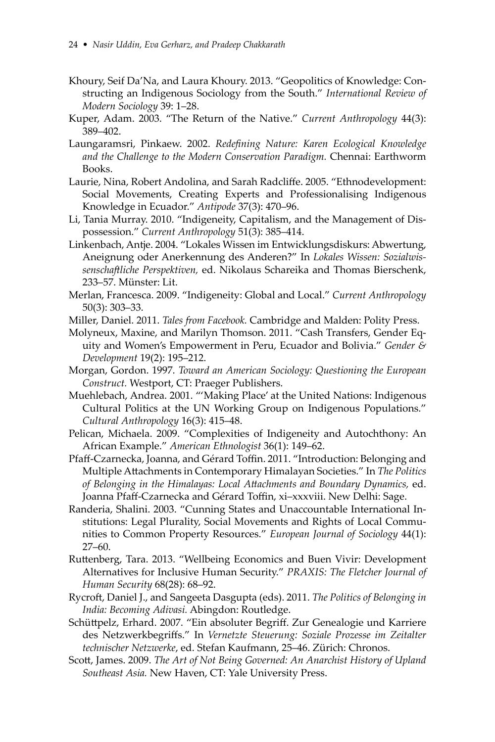- Khoury, Seif Da'Na, and Laura Khoury. 2013. "Geopolitics of Knowledge: Constructing an Indigenous Sociology from the South." *International Review of Modern Sociology* 39: 1–28.
- Kuper, Adam. 2003. "The Return of the Native." *Current Anthropology* 44(3): 389–402.
- Laungaramsri, Pinkaew. 2002. Redefining Nature: Karen Ecological Knowledge *and the Challenge to the Modern Conservation Paradigm.* Chennai: Earthworm Books.
- Laurie, Nina, Robert Andolina, and Sarah Radcliffe. 2005. "Ethnodevelopment: Social Movements, Creating Experts and Professionalising Indigenous Knowledge in Ecuador." *Antipode* 37(3): 470–96.
- Li, Tania Murray. 2010. "Indigeneity, Capitalism, and the Management of Dispossession." *Current Anthropology* 51(3): 385–414.
- Linkenbach, Antje. 2004. "Lokales Wissen im Entwick lungsdiskurs: Abwertung, Aneignung oder Anerkennung des Anderen?" In *Lokales Wissen: Sozialwissensch aft lich e Perspektiven,* ed. Nikolaus Schareika and Thomas Bierschenk, 233–57. Münster: Lit.
- Merlan, Francesca. 2009. "Indigeneity: Global and Local." *Current Anthropology* 50(3): 303–33.
- Miller, Daniel. 2011. *Tales from Facebook.* Cambridge and Malden: Polity Press.
- Molyneux, Maxine, and Marilyn Thomson. 2011. "Cash Transfers, Gender Equity and Women's Empowerment in Peru, Ecuador and Bolivia." *Gender & Development* 19(2): 195–212.
- Morgan, Gordon. 1997. *Toward an American Sociology: Questioning the European Construct.* Westport, CT: Praeger Publishers.
- Muehlebach, Andrea. 2001. "'Making Place' at the United Nations: Indigenous Cultural Politics at the UN Working Group on Indigenous Populations." *Cultural Anthropology* 16(3): 415–48.
- Pelican, Michaela. 2009. "Complexities of Indigeneity and Autochthony: An African Example." *American Ethnologist* 36(1): 149–62.
- Pfaff-Czarnecka, Joanna, and Gérard Toffin. 2011. "Introduction: Belonging and Multiple Att achments in Contemporary Himalayan Societies." In *The Politics of Belonging in the Himalayas: Local Att achments and Boundary Dynamics,* ed. Joanna Pfaff-Czarnecka and Gérard Toffin, xi–xxxviii. New Delhi: Sage.
- Randeria, Shalini. 2003. "Cunning States and Unaccountable International Institutions: Legal Plurality, Social Movements and Rights of Local Communities to Common Property Resources." *European Journal of Sociology* 44(1): 27–60.
- Ruttenberg, Tara. 2013. "Wellbeing Economics and Buen Vivir: Development Alternatives for Inclusive Human Security." *PRAXIS: The Fletcher Journal of Human Security* 68(28): 68–92.
- Rycroft, Daniel J., and Sangeeta Dasgupta (eds). 2011. *The Politics of Belonging in India: Becoming Adivasi.* Abingdon: Routledge.
- Schüttpelz, Erhard. 2007. "Ein absoluter Begriff. Zur Genealogie und Karriere des Netzwerkbegriffs." In Vernetzte Steuerung: Soziale Prozesse im Zeitalter *tech nisch er Netzwerke*, ed. Stefan Kaufmann, 25–46. Zürich: Chronos.
- Scott, James. 2009. *The Art of Not Being Governed: An Anarchist History of Upland Southeast Asia.* New Haven, CT: Yale University Press.